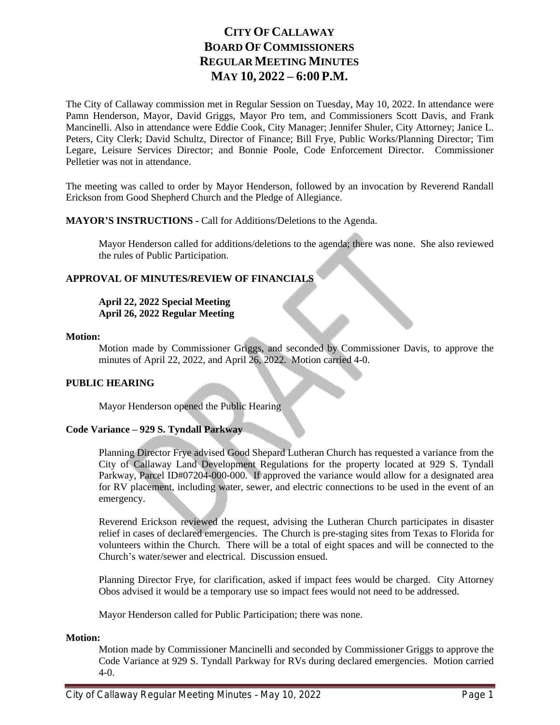# **CITY OF CALLAWAY BOARD OF COMMISSIONERS REGULAR MEETING MINUTES MAY 10, 2022 – 6:00 P.M.**

The City of Callaway commission met in Regular Session on Tuesday, May 10, 2022. In attendance were Pamn Henderson, Mayor, David Griggs, Mayor Pro tem, and Commissioners Scott Davis, and Frank Mancinelli. Also in attendance were Eddie Cook, City Manager; Jennifer Shuler, City Attorney; Janice L. Peters, City Clerk; David Schultz, Director of Finance; Bill Frye, Public Works/Planning Director; Tim Legare, Leisure Services Director; and Bonnie Poole, Code Enforcement Director. Commissioner Pelletier was not in attendance.

The meeting was called to order by Mayor Henderson, followed by an invocation by Reverend Randall Erickson from Good Shepherd Church and the Pledge of Allegiance.

# **MAYOR'S INSTRUCTIONS -** Call for Additions/Deletions to the Agenda.

Mayor Henderson called for additions/deletions to the agenda; there was none. She also reviewed the rules of Public Participation.

# **APPROVAL OF MINUTES/REVIEW OF FINANCIALS**

# **April 22, 2022 Special Meeting April 26, 2022 Regular Meeting**

### **Motion:**

Motion made by Commissioner Griggs, and seconded by Commissioner Davis, to approve the minutes of April 22, 2022, and April 26, 2022. Motion carried 4-0.

# **PUBLIC HEARING**

Mayor Henderson opened the Public Hearing

# **Code Variance – 929 S. Tyndall Parkway**

Planning Director Frye advised Good Shepard Lutheran Church has requested a variance from the City of Callaway Land Development Regulations for the property located at 929 S. Tyndall Parkway, Parcel ID#07204-000-000. If approved the variance would allow for a designated area for RV placement, including water, sewer, and electric connections to be used in the event of an emergency.

Reverend Erickson reviewed the request, advising the Lutheran Church participates in disaster relief in cases of declared emergencies. The Church is pre-staging sites from Texas to Florida for volunteers within the Church. There will be a total of eight spaces and will be connected to the Church's water/sewer and electrical. Discussion ensued.

Planning Director Frye, for clarification, asked if impact fees would be charged. City Attorney Obos advised it would be a temporary use so impact fees would not need to be addressed.

Mayor Henderson called for Public Participation; there was none.

# **Motion:**

Motion made by Commissioner Mancinelli and seconded by Commissioner Griggs to approve the Code Variance at 929 S. Tyndall Parkway for RVs during declared emergencies. Motion carried 4-0.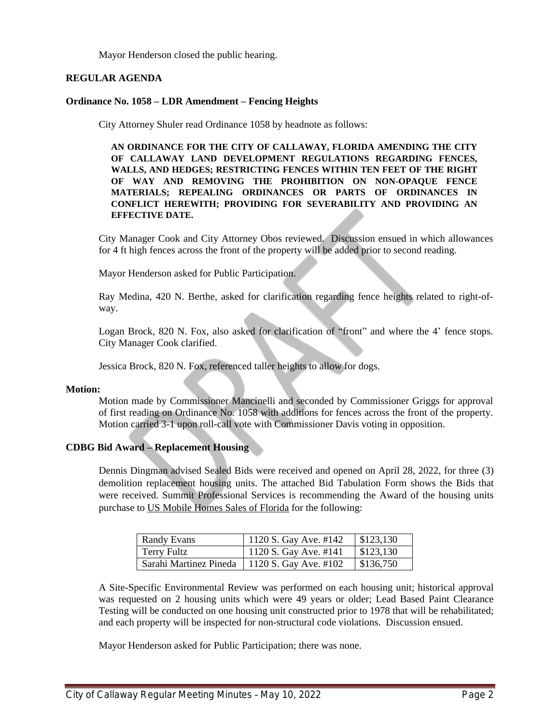Mayor Henderson closed the public hearing.

# **REGULAR AGENDA**

### **Ordinance No. 1058 – LDR Amendment – Fencing Heights**

City Attorney Shuler read Ordinance 1058 by headnote as follows:

**AN ORDINANCE FOR THE CITY OF CALLAWAY, FLORIDA AMENDING THE CITY OF CALLAWAY LAND DEVELOPMENT REGULATIONS REGARDING FENCES, WALLS, AND HEDGES; RESTRICTING FENCES WITHIN TEN FEET OF THE RIGHT OF WAY AND REMOVING THE PROHIBITION ON NON-OPAQUE FENCE MATERIALS; REPEALING ORDINANCES OR PARTS OF ORDINANCES IN CONFLICT HEREWITH; PROVIDING FOR SEVERABILITY AND PROVIDING AN EFFECTIVE DATE.**

City Manager Cook and City Attorney Obos reviewed. Discussion ensued in which allowances for 4 ft high fences across the front of the property will be added prior to second reading.

Mayor Henderson asked for Public Participation.

Ray Medina, 420 N. Berthe, asked for clarification regarding fence heights related to right-ofway.

Logan Brock, 820 N. Fox, also asked for clarification of "front" and where the 4' fence stops. City Manager Cook clarified.

Jessica Brock, 820 N. Fox, referenced taller heights to allow for dogs.

#### **Motion:**

Motion made by Commissioner Mancinelli and seconded by Commissioner Griggs for approval of first reading on Ordinance No. 1058 with additions for fences across the front of the property. Motion carried 3-1 upon roll-call vote with Commissioner Davis voting in opposition.

#### **CDBG Bid Award – Replacement Housing**

Dennis Dingman advised Sealed Bids were received and opened on April 28, 2022, for three (3) demolition replacement housing units. The attached Bid Tabulation Form shows the Bids that were received. Summit Professional Services is recommending the Award of the housing units purchase to US Mobile Homes Sales of Florida for the following:

| <b>Randy Evans</b>     | <sup>1</sup> 1120 S. Gay Ave. #142 | $\vert$ \$123,130 |
|------------------------|------------------------------------|-------------------|
| Terry Fultz            | 1120 S. Gay Ave. #141              | \$123,130         |
| Sarahi Martinez Pineda | 1120 S. Gay Ave. #102              | \$136,750         |

A Site-Specific Environmental Review was performed on each housing unit; historical approval was requested on 2 housing units which were 49 years or older; Lead Based Paint Clearance Testing will be conducted on one housing unit constructed prior to 1978 that will be rehabilitated; and each property will be inspected for non-structural code violations. Discussion ensued.

Mayor Henderson asked for Public Participation; there was none.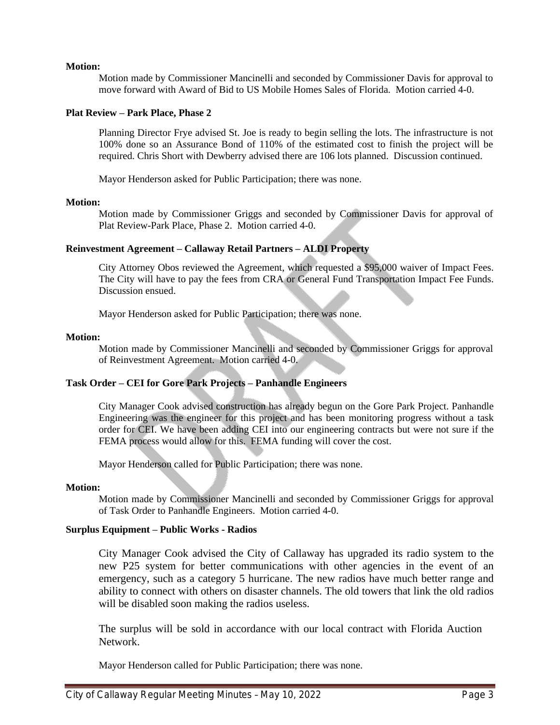# **Motion:**

Motion made by Commissioner Mancinelli and seconded by Commissioner Davis for approval to move forward with Award of Bid to US Mobile Homes Sales of Florida. Motion carried 4-0.

# **Plat Review – Park Place, Phase 2**

Planning Director Frye advised St. Joe is ready to begin selling the lots. The infrastructure is not 100% done so an Assurance Bond of 110% of the estimated cost to finish the project will be required. Chris Short with Dewberry advised there are 106 lots planned. Discussion continued.

Mayor Henderson asked for Public Participation; there was none.

#### **Motion:**

Motion made by Commissioner Griggs and seconded by Commissioner Davis for approval of Plat Review-Park Place, Phase 2. Motion carried 4-0.

### **Reinvestment Agreement – Callaway Retail Partners – ALDI Property**

City Attorney Obos reviewed the Agreement, which requested a \$95,000 waiver of Impact Fees. The City will have to pay the fees from CRA or General Fund Transportation Impact Fee Funds. Discussion ensued.

Mayor Henderson asked for Public Participation; there was none.

#### **Motion:**

Motion made by Commissioner Mancinelli and seconded by Commissioner Griggs for approval of Reinvestment Agreement. Motion carried 4-0.

# **Task Order – CEI for Gore Park Projects – Panhandle Engineers**

City Manager Cook advised construction has already begun on the Gore Park Project. Panhandle Engineering was the engineer for this project and has been monitoring progress without a task order for CEI. We have been adding CEI into our engineering contracts but were not sure if the FEMA process would allow for this. FEMA funding will cover the cost.

Mayor Henderson called for Public Participation; there was none.

#### **Motion:**

Motion made by Commissioner Mancinelli and seconded by Commissioner Griggs for approval of Task Order to Panhandle Engineers. Motion carried 4-0.

# **Surplus Equipment – Public Works - Radios**

City Manager Cook advised the City of Callaway has upgraded its radio system to the new P25 system for better communications with other agencies in the event of an emergency, such as a category 5 hurricane. The new radios have much better range and ability to connect with others on disaster channels. The old towers that link the old radios will be disabled soon making the radios useless.

The surplus will be sold in accordance with our local contract with Florida Auction Network.

Mayor Henderson called for Public Participation; there was none.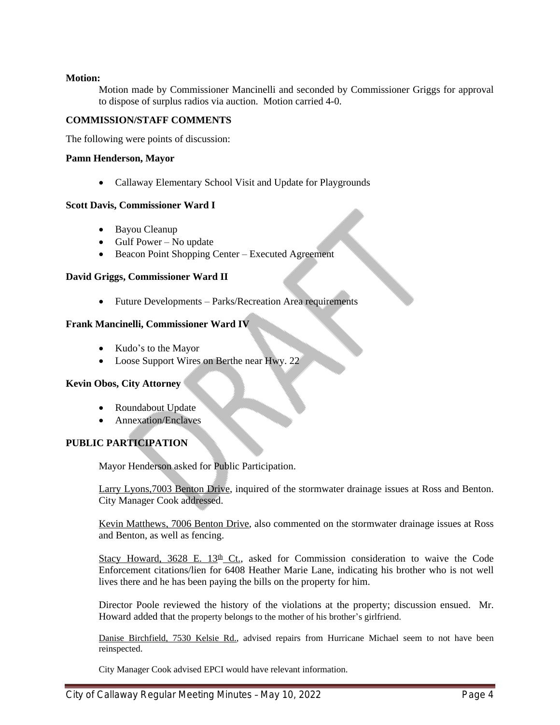# **Motion:**

Motion made by Commissioner Mancinelli and seconded by Commissioner Griggs for approval to dispose of surplus radios via auction. Motion carried 4-0.

# **COMMISSION/STAFF COMMENTS**

The following were points of discussion:

# **Pamn Henderson, Mayor**

• Callaway Elementary School Visit and Update for Playgrounds

### **Scott Davis, Commissioner Ward I**

- Bayou Cleanup
- $\bullet$  Gulf Power No update
- Beacon Point Shopping Center Executed Agreement

### **David Griggs, Commissioner Ward II**

• Future Developments – Parks/Recreation Area requirements

# **Frank Mancinelli, Commissioner Ward IV**

- Kudo's to the Mayor
- Loose Support Wires on Berthe near Hwy. 22

# **Kevin Obos, City Attorney**

- Roundabout Update
- Annexation/Enclaves

# **PUBLIC PARTICIPATION**

Mayor Henderson asked for Public Participation.

Larry Lyons,7003 Benton Drive, inquired of the stormwater drainage issues at Ross and Benton. City Manager Cook addressed.

Kevin Matthews, 7006 Benton Drive, also commented on the stormwater drainage issues at Ross and Benton, as well as fencing.

Stacy Howard, 3628 E. 13<sup>th</sup> Ct., asked for Commission consideration to waive the Code Enforcement citations/lien for 6408 Heather Marie Lane, indicating his brother who is not well lives there and he has been paying the bills on the property for him.

Director Poole reviewed the history of the violations at the property; discussion ensued. Mr. Howard added that the property belongs to the mother of his brother's girlfriend.

Danise Birchfield, 7530 Kelsie Rd., advised repairs from Hurricane Michael seem to not have been reinspected.

City Manager Cook advised EPCI would have relevant information.